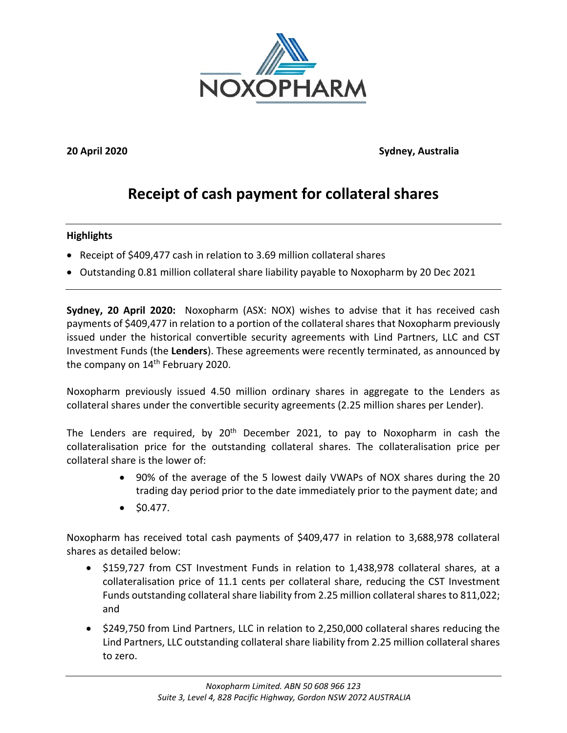

**20 April 2020 Sydney, Australia**

# **Receipt of cash payment for collateral shares**

## **Highlights**

- Receipt of \$409,477 cash in relation to 3.69 million collateral shares
- Outstanding 0.81 million collateral share liability payable to Noxopharm by 20 Dec 2021

**Sydney, 20 April 2020:** Noxopharm (ASX: NOX) wishes to advise that it has received cash payments of \$409,477 in relation to a portion of the collateral shares that Noxopharm previously issued under the historical convertible security agreements with Lind Partners, LLC and CST Investment Funds (the **Lenders**). These agreements were recently terminated, as announced by the company on 14<sup>th</sup> February 2020.

Noxopharm previously issued 4.50 million ordinary shares in aggregate to the Lenders as collateral shares under the convertible security agreements (2.25 million shares per Lender).

The Lenders are required, by  $20<sup>th</sup>$  December 2021, to pay to Noxopharm in cash the collateralisation price for the outstanding collateral shares. The collateralisation price per collateral share is the lower of:

- 90% of the average of the 5 lowest daily VWAPs of NOX shares during the 20 trading day period prior to the date immediately prior to the payment date; and
- $\bullet$  \$0.477.

Noxopharm has received total cash payments of \$409,477 in relation to 3,688,978 collateral shares as detailed below:

- \$159,727 from CST Investment Funds in relation to 1,438,978 collateral shares, at a collateralisation price of 11.1 cents per collateral share, reducing the CST Investment Funds outstanding collateral share liability from 2.25 million collateral shares to 811,022; and
- \$249,750 from Lind Partners, LLC in relation to 2,250,000 collateral shares reducing the Lind Partners, LLC outstanding collateral share liability from 2.25 million collateral shares to zero.